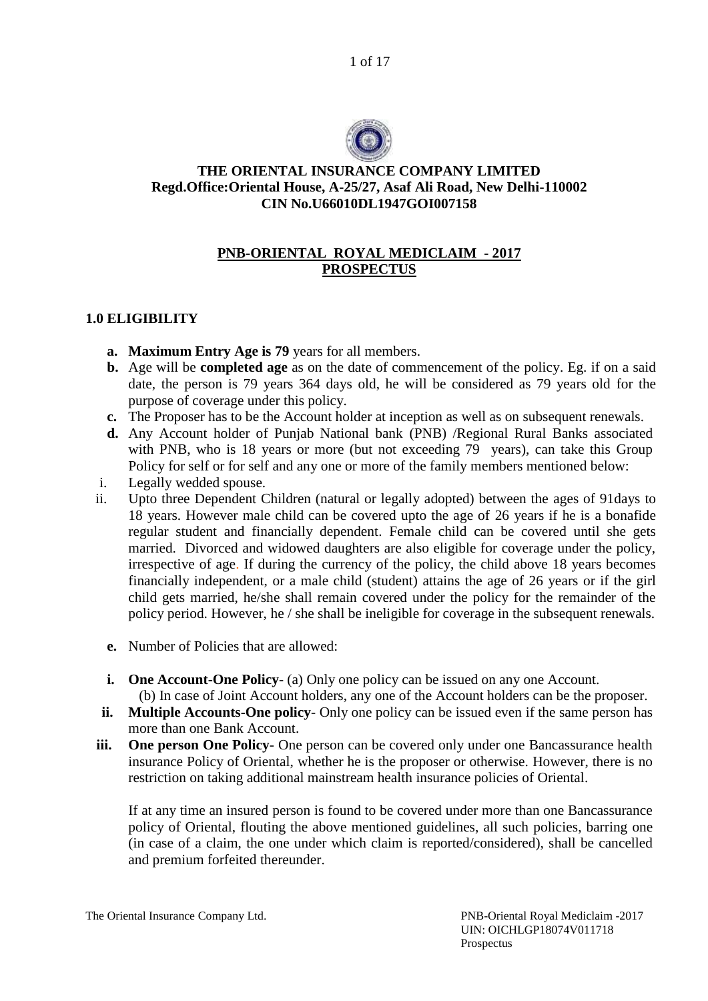1 of 17



#### **THE ORIENTAL INSURANCE COMPANY LIMITED Regd.Office:Oriental House, A-25/27, Asaf Ali Road, New Delhi-110002 CIN No.U66010DL1947GOI007158**

# **PNB-ORIENTAL ROYAL MEDICLAIM - 2017 PROSPECTUS**

# **1.0 ELIGIBILITY**

- **a. Maximum Entry Age is 79** years for all members.
- **b.** Age will be **completed age** as on the date of commencement of the policy. Eg. if on a said date, the person is 79 years 364 days old, he will be considered as 79 years old for the purpose of coverage under this policy.
- **c.** The Proposer has to be the Account holder at inception as well as on subsequent renewals.
- **d.** Any Account holder of Punjab National bank (PNB) /Regional Rural Banks associated with PNB, who is 18 years or more (but not exceeding 79 years), can take this Group Policy for self or for self and any one or more of the family members mentioned below:
- i. Legally wedded spouse.
- ii. Upto three Dependent Children (natural or legally adopted) between the ages of 91days to 18 years. However male child can be covered upto the age of 26 years if he is a bonafide regular student and financially dependent. Female child can be covered until she gets married. Divorced and widowed daughters are also eligible for coverage under the policy, irrespective of age. If during the currency of the policy, the child above 18 years becomes financially independent, or a male child (student) attains the age of 26 years or if the girl child gets married, he/she shall remain covered under the policy for the remainder of the policy period. However, he / she shall be ineligible for coverage in the subsequent renewals.
	- **e.** Number of Policies that are allowed:
	- **i. One Account-One Policy** (a) Only one policy can be issued on any one Account.

(b) In case of Joint Account holders, any one of the Account holders can be the proposer.

- **ii. Multiple Accounts-One policy** Only one policy can be issued even if the same person has more than one Bank Account.
- **iii. One person One Policy** One person can be covered only under one Bancassurance health insurance Policy of Oriental, whether he is the proposer or otherwise. However, there is no restriction on taking additional mainstream health insurance policies of Oriental.

If at any time an insured person is found to be covered under more than one Bancassurance policy of Oriental, flouting the above mentioned guidelines, all such policies, barring one (in case of a claim, the one under which claim is reported/considered), shall be cancelled and premium forfeited thereunder.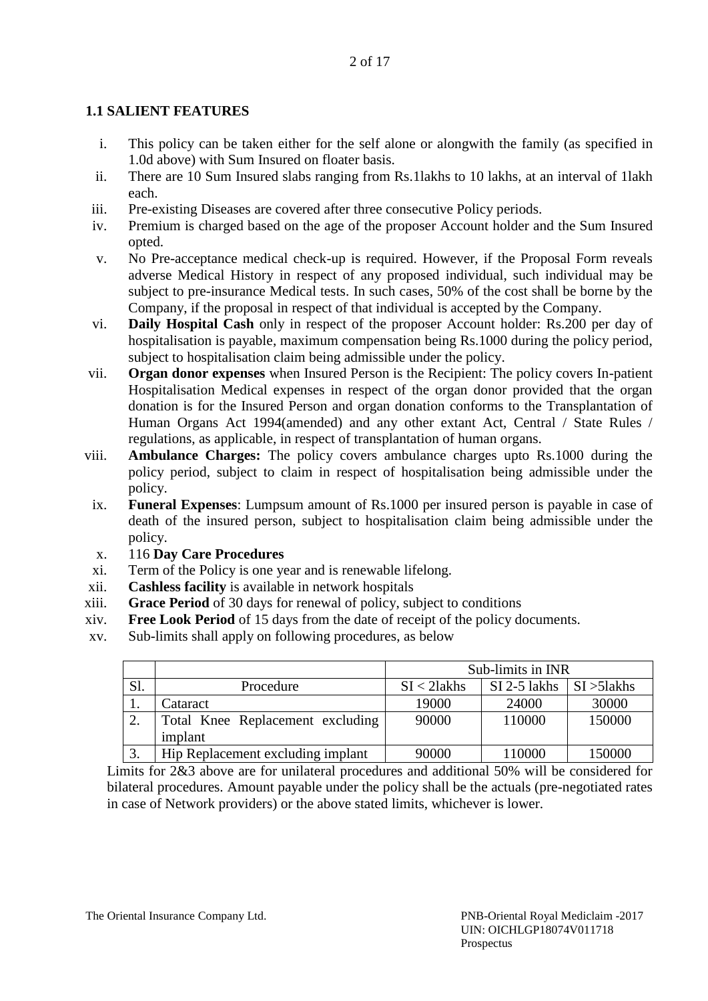# **1.1 SALIENT FEATURES**

- i. This policy can be taken either for the self alone or alongwith the family (as specified in 1.0d above) with Sum Insured on floater basis.
- ii. There are 10 Sum Insured slabs ranging from Rs.1lakhs to 10 lakhs, at an interval of 1lakh each.
- iii. Pre-existing Diseases are covered after three consecutive Policy periods.
- iv. Premium is charged based on the age of the proposer Account holder and the Sum Insured opted.
- v. No Pre-acceptance medical check-up is required. However, if the Proposal Form reveals adverse Medical History in respect of any proposed individual, such individual may be subject to pre-insurance Medical tests. In such cases, 50% of the cost shall be borne by the Company, if the proposal in respect of that individual is accepted by the Company.
- vi. **Daily Hospital Cash** only in respect of the proposer Account holder: Rs.200 per day of hospitalisation is payable, maximum compensation being Rs.1000 during the policy period, subject to hospitalisation claim being admissible under the policy.
- vii. **Organ donor expenses** when Insured Person is the Recipient: The policy covers In-patient Hospitalisation Medical expenses in respect of the organ donor provided that the organ donation is for the Insured Person and organ donation conforms to the Transplantation of Human Organs Act 1994(amended) and any other extant Act, Central / State Rules / regulations, as applicable, in respect of transplantation of human organs.
- viii. **Ambulance Charges:** The policy covers ambulance charges upto Rs.1000 during the policy period, subject to claim in respect of hospitalisation being admissible under the policy.
	- ix. **Funeral Expenses**: Lumpsum amount of Rs.1000 per insured person is payable in case of death of the insured person, subject to hospitalisation claim being admissible under the policy.
	- x. 116 **Day Care Procedures**
- xi. Term of the Policy is one year and is renewable lifelong.
- xii. **Cashless facility** is available in network hospitals
- xiii. **Grace Period** of 30 days for renewal of policy, subject to conditions
- xiv. **Free Look Period** of 15 days from the date of receipt of the policy documents.
- xv. Sub-limits shall apply on following procedures, as below

|     |                                   | Sub-limits in INR |              |                        |
|-----|-----------------------------------|-------------------|--------------|------------------------|
| Sl. | Procedure                         | $SI < 2$ lakhs    | SI 2-5 lakhs | $\vert$ SI $>$ 51 akhs |
| ı.  | Cataract                          | 19000             | 24000        | 30000                  |
| ۷.  | Total Knee Replacement excluding  | 90000             | 110000       | 150000                 |
|     | implant                           |                   |              |                        |
| J.  | Hip Replacement excluding implant | 90000             | 110000       | 150000                 |

Limits for 2&3 above are for unilateral procedures and additional 50% will be considered for bilateral procedures. Amount payable under the policy shall be the actuals (pre-negotiated rates in case of Network providers) or the above stated limits, whichever is lower.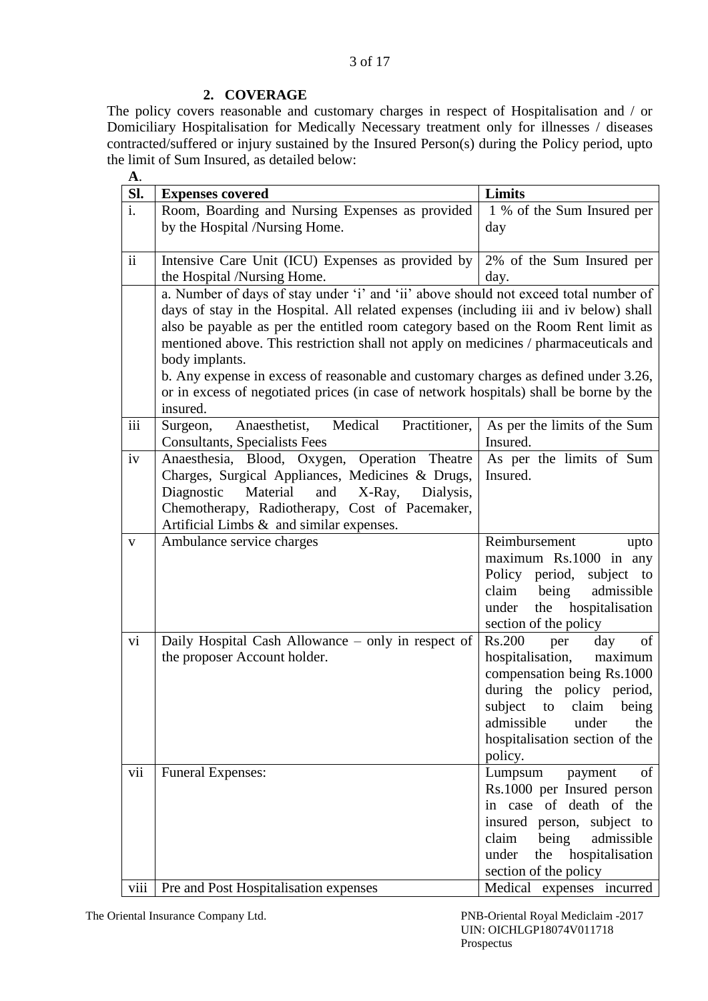### **2. COVERAGE**

The policy covers reasonable and customary charges in respect of Hospitalisation and / or Domiciliary Hospitalisation for Medically Necessary treatment only for illnesses / diseases contracted/suffered or injury sustained by the Insured Person(s) during the Policy period, upto the limit of Sum Insured, as detailed below:

| <b>A.</b>       |                                                                                        |                                                         |  |
|-----------------|----------------------------------------------------------------------------------------|---------------------------------------------------------|--|
| Sl.             | <b>Expenses covered</b>                                                                | Limits                                                  |  |
| i.              | Room, Boarding and Nursing Expenses as provided                                        | 1 % of the Sum Insured per                              |  |
|                 | by the Hospital /Nursing Home.                                                         | day                                                     |  |
|                 |                                                                                        |                                                         |  |
| $\ddot{\rm ii}$ | Intensive Care Unit (ICU) Expenses as provided by                                      | 2% of the Sum Insured per                               |  |
|                 | the Hospital /Nursing Home.                                                            | day.                                                    |  |
|                 | a. Number of days of stay under 'i' and 'ii' above should not exceed total number of   |                                                         |  |
|                 | days of stay in the Hospital. All related expenses (including iii and iv below) shall  |                                                         |  |
|                 | also be payable as per the entitled room category based on the Room Rent limit as      |                                                         |  |
|                 | mentioned above. This restriction shall not apply on medicines / pharmaceuticals and   |                                                         |  |
|                 | body implants.                                                                         |                                                         |  |
|                 | b. Any expense in excess of reasonable and customary charges as defined under 3.26,    |                                                         |  |
|                 | or in excess of negotiated prices (in case of network hospitals) shall be borne by the |                                                         |  |
|                 | insured.                                                                               |                                                         |  |
| iii             | Medical<br>Practitioner,<br>Surgeon,<br>Anaesthetist,                                  | As per the limits of the Sum                            |  |
|                 | <b>Consultants, Specialists Fees</b>                                                   | Insured.                                                |  |
| iv              | Anaesthesia, Blood, Oxygen, Operation Theatre                                          | As per the limits of Sum                                |  |
|                 | Charges, Surgical Appliances, Medicines & Drugs,                                       | Insured.                                                |  |
|                 | Material<br>X-Ray,<br>Diagnostic<br>and<br>Dialysis,                                   |                                                         |  |
|                 | Chemotherapy, Radiotherapy, Cost of Pacemaker,                                         |                                                         |  |
|                 | Artificial Limbs $\&$ and similar expenses.                                            |                                                         |  |
| $\mathbf{V}$    | Ambulance service charges                                                              | Reimbursement<br>upto                                   |  |
|                 |                                                                                        | maximum Rs.1000 in any                                  |  |
|                 |                                                                                        | Policy period,<br>subject to                            |  |
|                 |                                                                                        | claim<br>being<br>admissible                            |  |
|                 |                                                                                        | the hospitalisation<br>under                            |  |
|                 |                                                                                        | section of the policy                                   |  |
| vi              | Daily Hospital Cash Allowance – only in respect of                                     | Rs.200<br>day<br>of<br>per<br>maximum                   |  |
|                 | the proposer Account holder.                                                           | hospitalisation,                                        |  |
|                 |                                                                                        | compensation being Rs.1000<br>during the policy period, |  |
|                 |                                                                                        | subject to claim being                                  |  |
|                 |                                                                                        | admissible<br>under<br>the                              |  |
|                 |                                                                                        | hospitalisation section of the                          |  |
|                 |                                                                                        | policy.                                                 |  |
| vii             | <b>Funeral Expenses:</b>                                                               | Lumpsum<br>payment<br>of                                |  |
|                 |                                                                                        | Rs.1000 per Insured person                              |  |
|                 |                                                                                        | in case of death of the                                 |  |
|                 |                                                                                        | insured person, subject to                              |  |
|                 |                                                                                        | claim<br>being<br>admissible                            |  |
|                 |                                                                                        | the hospitalisation<br>under                            |  |
|                 |                                                                                        | section of the policy                                   |  |
| viii            | Pre and Post Hospitalisation expenses                                                  | Medical expenses incurred                               |  |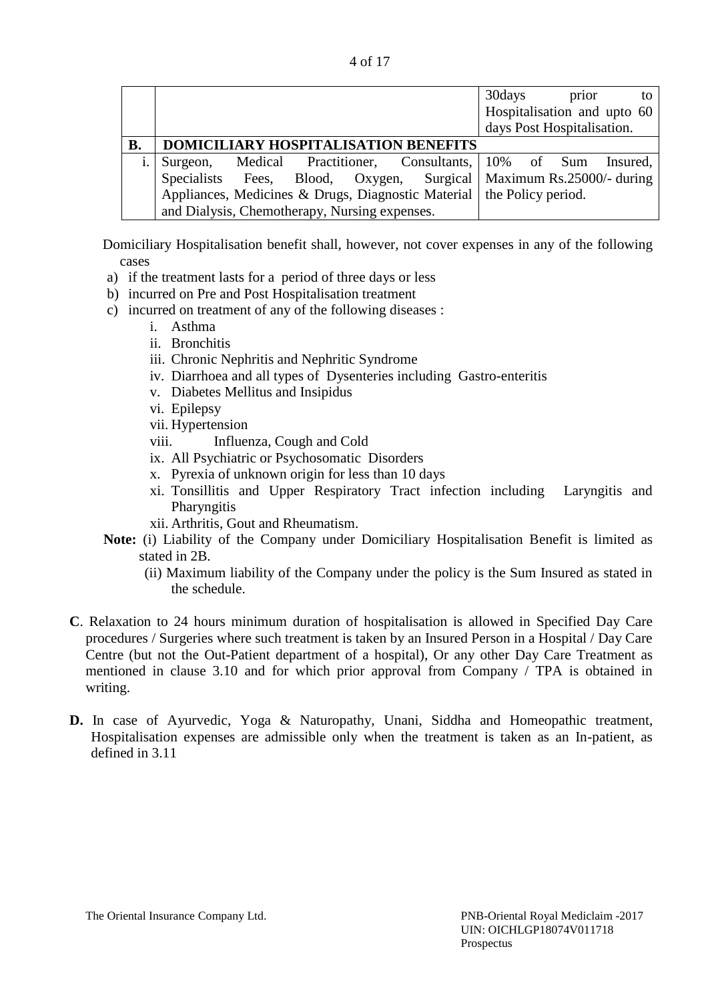| 4 of 17 |
|---------|

|    |                                                                               | 30days<br>prior<br>to       |
|----|-------------------------------------------------------------------------------|-----------------------------|
|    |                                                                               | Hospitalisation and upto 60 |
|    |                                                                               | days Post Hospitalisation.  |
| В. | DOMICILIARY HOSPITALISATION BENEFITS                                          |                             |
|    | Medical Practitioner, Consultants, 10% of Sum<br>Surgeon,                     | Insured,                    |
|    | Specialists Fees, Blood, Oxygen, Surgical   Maximum Rs.25000/- during         |                             |
|    | Appliances, Medicines & Drugs, Diagnostic Material $\vert$ the Policy period. |                             |
|    | and Dialysis, Chemotherapy, Nursing expenses.                                 |                             |

Domiciliary Hospitalisation benefit shall, however, not cover expenses in any of the following cases

- a) if the treatment lasts for a period of three days or less
- b) incurred on Pre and Post Hospitalisation treatment
- c) incurred on treatment of any of the following diseases :
	- i. Asthma
	- ii. Bronchitis
	- iii. Chronic Nephritis and Nephritic Syndrome
	- iv. Diarrhoea and all types of Dysenteries including Gastro-enteritis
	- v. Diabetes Mellitus and Insipidus
	- vi. Epilepsy
	- vii. Hypertension
	- viii. Influenza, Cough and Cold
	- ix. All Psychiatric or Psychosomatic Disorders
	- x. Pyrexia of unknown origin for less than 10 days
	- xi. Tonsillitis and Upper Respiratory Tract infection including Laryngitis and **Pharyngitis**
	- xii. Arthritis, Gout and Rheumatism.
- **Note:** (i) Liability of the Company under Domiciliary Hospitalisation Benefit is limited as stated in 2B.
	- (ii) Maximum liability of the Company under the policy is the Sum Insured as stated in the schedule.
- **C**. Relaxation to 24 hours minimum duration of hospitalisation is allowed in Specified Day Care procedures / Surgeries where such treatment is taken by an Insured Person in a Hospital / Day Care Centre (but not the Out-Patient department of a hospital), Or any other Day Care Treatment as mentioned in clause 3.10 and for which prior approval from Company / TPA is obtained in writing.
- **D.** In case of Ayurvedic, Yoga & Naturopathy, Unani, Siddha and Homeopathic treatment, Hospitalisation expenses are admissible only when the treatment is taken as an In-patient, as defined in 3.11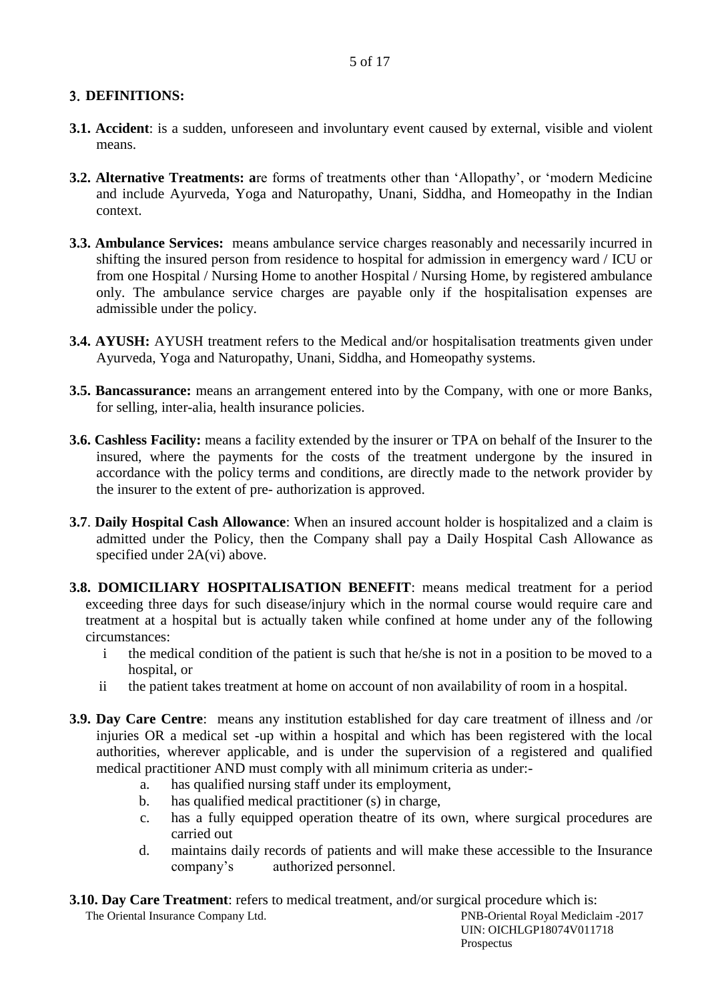## **DEFINITIONS:**

- **3.1. Accident**: is a sudden, unforeseen and involuntary event caused by external, visible and violent means.
- **3.2. Alternative Treatments: a**re forms of treatments other than 'Allopathy', or 'modern Medicine and include Ayurveda, Yoga and Naturopathy, Unani, Siddha, and Homeopathy in the Indian context.
- **3.3. Ambulance Services:** means ambulance service charges reasonably and necessarily incurred in shifting the insured person from residence to hospital for admission in emergency ward / ICU or from one Hospital / Nursing Home to another Hospital / Nursing Home, by registered ambulance only. The ambulance service charges are payable only if the hospitalisation expenses are admissible under the policy.
- **3.4. AYUSH:** AYUSH treatment refers to the Medical and/or hospitalisation treatments given under Ayurveda, Yoga and Naturopathy, Unani, Siddha, and Homeopathy systems.
- **3.5. Bancassurance:** means an arrangement entered into by the Company, with one or more Banks, for selling, inter-alia, health insurance policies.
- **3.6. Cashless Facility:** means a facility extended by the insurer or TPA on behalf of the Insurer to the insured, where the payments for the costs of the treatment undergone by the insured in accordance with the policy terms and conditions, are directly made to the network provider by the insurer to the extent of pre- authorization is approved.
- **3.7**. **Daily Hospital Cash Allowance**: When an insured account holder is hospitalized and a claim is admitted under the Policy, then the Company shall pay a Daily Hospital Cash Allowance as specified under 2A(vi) above.
- **3.8. DOMICILIARY HOSPITALISATION BENEFIT**: means medical treatment for a period exceeding three days for such disease/injury which in the normal course would require care and treatment at a hospital but is actually taken while confined at home under any of the following circumstances:
	- i the medical condition of the patient is such that he/she is not in a position to be moved to a hospital, or
	- ii the patient takes treatment at home on account of non availability of room in a hospital.
- **3.9. Day Care Centre**: means any institution established for day care treatment of illness and /or injuries OR a medical set -up within a hospital and which has been registered with the local authorities, wherever applicable, and is under the supervision of a registered and qualified medical practitioner AND must comply with all minimum criteria as under:
	- a. has qualified nursing staff under its employment,
	- b. has qualified medical practitioner (s) in charge,
	- c. has a fully equipped operation theatre of its own, where surgical procedures are carried out
	- d. maintains daily records of patients and will make these accessible to the Insurance company's authorized personnel.

**3.10. Day Care Treatment**: refers to medical treatment, and/or surgical procedure which is: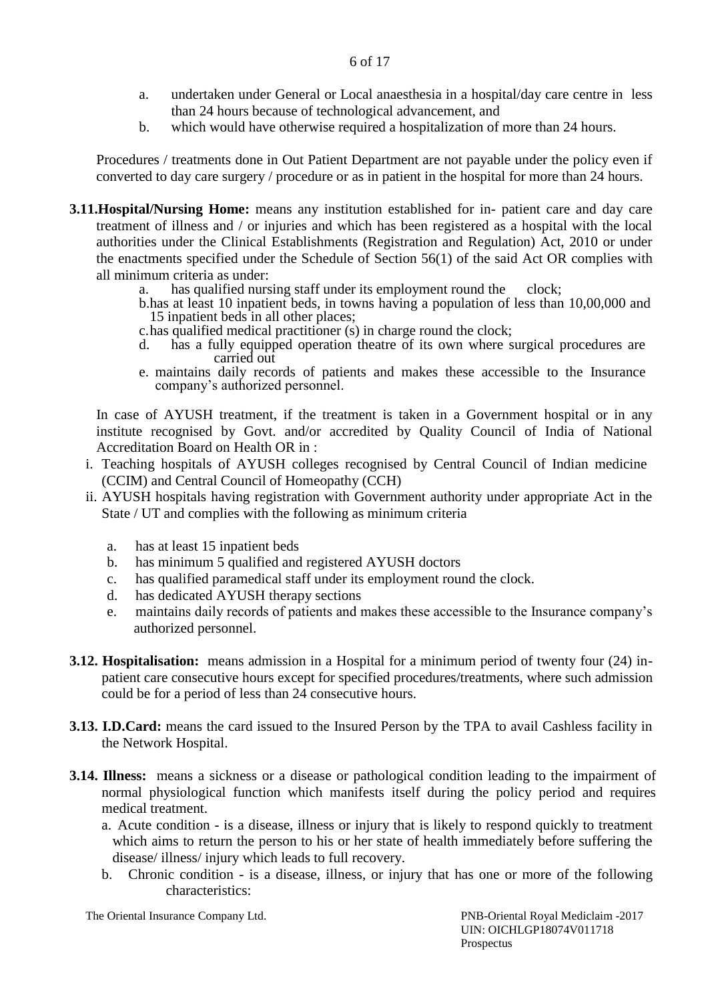- a. undertaken under General or Local anaesthesia in a hospital/day care centre in less than 24 hours because of technological advancement, and
- b. which would have otherwise required a hospitalization of more than 24 hours.

Procedures / treatments done in Out Patient Department are not payable under the policy even if converted to day care surgery / procedure or as in patient in the hospital for more than 24 hours.

- **3.11.Hospital/Nursing Home:** means any institution established for in- patient care and day care treatment of illness and / or injuries and which has been registered as a hospital with the local authorities under the Clinical Establishments (Registration and Regulation) Act, 2010 or under the enactments specified under the Schedule of Section 56(1) of the said Act OR complies with all minimum criteria as under:
	- a. has qualified nursing staff under its employment round the clock;
	- b.has at least 10 inpatient beds, in towns having a population of less than 10,00,000 and 15 inpatient beds in all other places;
	- c.has qualified medical practitioner (s) in charge round the clock;
	- d. has a fully equipped operation theatre of its own where surgical procedures are carried out
	- e. maintains daily records of patients and makes these accessible to the Insurance company's authorized personnel.

In case of AYUSH treatment, if the treatment is taken in a Government hospital or in any institute recognised by Govt. and/or accredited by Quality Council of India of National Accreditation Board on Health OR in :

- i. Teaching hospitals of AYUSH colleges recognised by Central Council of Indian medicine (CCIM) and Central Council of Homeopathy (CCH)
- ii. AYUSH hospitals having registration with Government authority under appropriate Act in the State / UT and complies with the following as minimum criteria
	- a. has at least 15 inpatient beds
	- b. has minimum 5 qualified and registered AYUSH doctors
	- c. has qualified paramedical staff under its employment round the clock.
	- d. has dedicated AYUSH therapy sections
	- e. maintains daily records of patients and makes these accessible to the Insurance company's authorized personnel.
- **3.12. Hospitalisation:** means admission in a Hospital for a minimum period of twenty four (24) inpatient care consecutive hours except for specified procedures/treatments, where such admission could be for a period of less than 24 consecutive hours.
- **3.13. I.D.Card:** means the card issued to the Insured Person by the TPA to avail Cashless facility in the Network Hospital.
- **3.14. Illness:** means a sickness or a disease or pathological condition leading to the impairment of normal physiological function which manifests itself during the policy period and requires medical treatment.
	- a. Acute condition is a disease, illness or injury that is likely to respond quickly to treatment which aims to return the person to his or her state of health immediately before suffering the disease/ illness/ injury which leads to full recovery.
	- b. Chronic condition is a disease, illness, or injury that has one or more of the following characteristics:

The Oriental Insurance Company Ltd. PNB-Oriental Royal Mediclaim -2017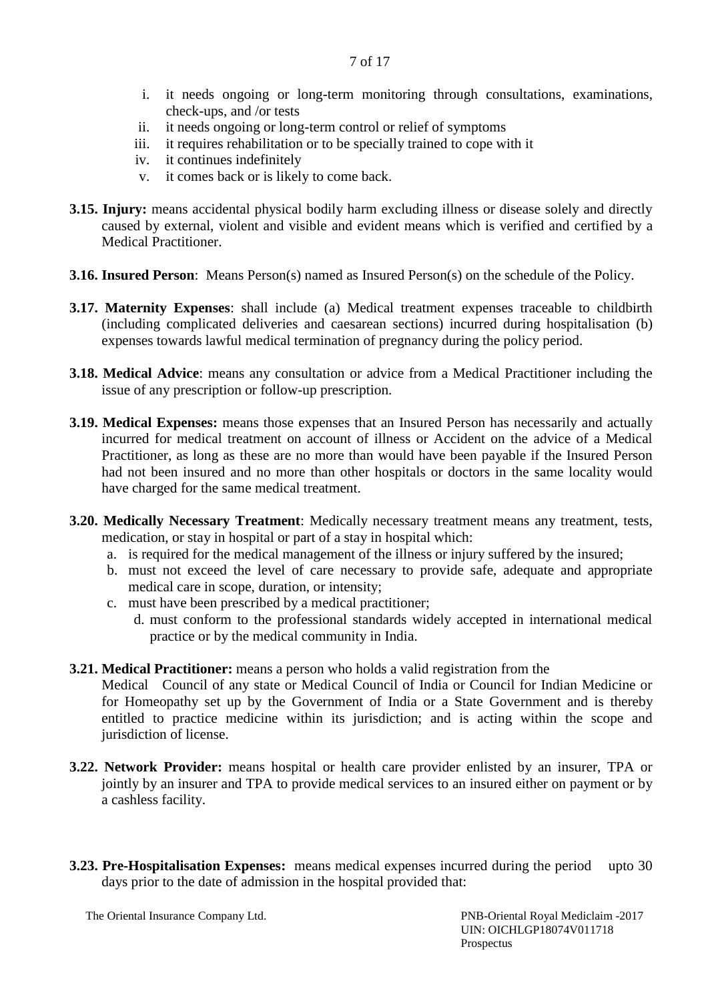- i. it needs ongoing or long-term monitoring through consultations, examinations, check-ups, and /or tests
- ii. it needs ongoing or long-term control or relief of symptoms
- iii. it requires rehabilitation or to be specially trained to cope with it
- iv. it continues indefinitely
- v. it comes back or is likely to come back.
- **3.15. Injury:** means accidental physical bodily harm excluding illness or disease solely and directly caused by external, violent and visible and evident means which is verified and certified by a Medical Practitioner.
- **3.16. Insured Person**: Means Person(s) named as Insured Person(s) on the schedule of the Policy.
- **3.17. Maternity Expenses**: shall include (a) Medical treatment expenses traceable to childbirth (including complicated deliveries and caesarean sections) incurred during hospitalisation (b) expenses towards lawful medical termination of pregnancy during the policy period.
- **3.18. Medical Advice**: means any consultation or advice from a Medical Practitioner including the issue of any prescription or follow-up prescription.
- **3.19. Medical Expenses:** means those expenses that an Insured Person has necessarily and actually incurred for medical treatment on account of illness or Accident on the advice of a Medical Practitioner, as long as these are no more than would have been payable if the Insured Person had not been insured and no more than other hospitals or doctors in the same locality would have charged for the same medical treatment.
- **3.20. Medically Necessary Treatment**: Medically necessary treatment means any treatment, tests, medication, or stay in hospital or part of a stay in hospital which:
	- a. is required for the medical management of the illness or injury suffered by the insured;
	- b. must not exceed the level of care necessary to provide safe, adequate and appropriate medical care in scope, duration, or intensity;
	- c. must have been prescribed by a medical practitioner;
		- d. must conform to the professional standards widely accepted in international medical practice or by the medical community in India.
- **3.21. Medical Practitioner:** means a person who holds a valid registration from the

Medical Council of any state or Medical Council of India or Council for Indian Medicine or for Homeopathy set up by the Government of India or a State Government and is thereby entitled to practice medicine within its jurisdiction; and is acting within the scope and jurisdiction of license.

- **3.22. Network Provider:** means hospital or health care provider enlisted by an insurer, TPA or jointly by an insurer and TPA to provide medical services to an insured either on payment or by a cashless facility.
- **3.23. Pre-Hospitalisation Expenses:** means medical expenses incurred during the period upto 30 days prior to the date of admission in the hospital provided that: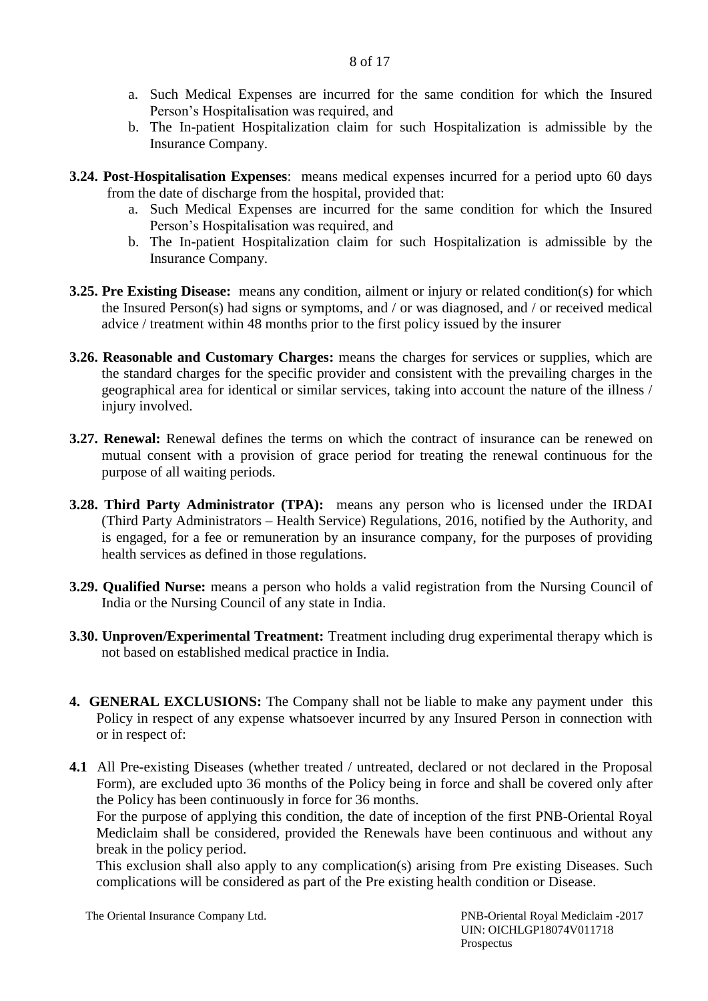- a. Such Medical Expenses are incurred for the same condition for which the Insured Person's Hospitalisation was required, and
- b. The In-patient Hospitalization claim for such Hospitalization is admissible by the Insurance Company.
- **3.24. Post-Hospitalisation Expenses**: means medical expenses incurred for a period upto 60 days from the date of discharge from the hospital, provided that:
	- a. Such Medical Expenses are incurred for the same condition for which the Insured Person's Hospitalisation was required, and
	- b. The In-patient Hospitalization claim for such Hospitalization is admissible by the Insurance Company.
- **3.25. Pre Existing Disease:** means any condition, ailment or injury or related condition(s) for which the Insured Person(s) had signs or symptoms, and / or was diagnosed, and / or received medical advice / treatment within 48 months prior to the first policy issued by the insurer
- **3.26. Reasonable and Customary Charges:** means the charges for services or supplies, which are the standard charges for the specific provider and consistent with the prevailing charges in the geographical area for identical or similar services, taking into account the nature of the illness / injury involved.
- **3.27. Renewal:** Renewal defines the terms on which the contract of insurance can be renewed on mutual consent with a provision of grace period for treating the renewal continuous for the purpose of all waiting periods.
- **3.28. Third Party Administrator (TPA):** means any person who is licensed under the IRDAI (Third Party Administrators – Health Service) Regulations, 2016, notified by the Authority, and is engaged, for a fee or remuneration by an insurance company, for the purposes of providing health services as defined in those regulations.
- **3.29. Qualified Nurse:** means a person who holds a valid registration from the Nursing Council of India or the Nursing Council of any state in India.
- **3.30. Unproven/Experimental Treatment:** Treatment including drug experimental therapy which is not based on established medical practice in India.
- **4. GENERAL EXCLUSIONS:** The Company shall not be liable to make any payment under this Policy in respect of any expense whatsoever incurred by any Insured Person in connection with or in respect of:
- **4.1** All Pre-existing Diseases (whether treated / untreated, declared or not declared in the Proposal Form), are excluded upto 36 months of the Policy being in force and shall be covered only after the Policy has been continuously in force for 36 months.

For the purpose of applying this condition, the date of inception of the first PNB-Oriental Royal Mediclaim shall be considered, provided the Renewals have been continuous and without any break in the policy period.

This exclusion shall also apply to any complication(s) arising from Pre existing Diseases. Such complications will be considered as part of the Pre existing health condition or Disease.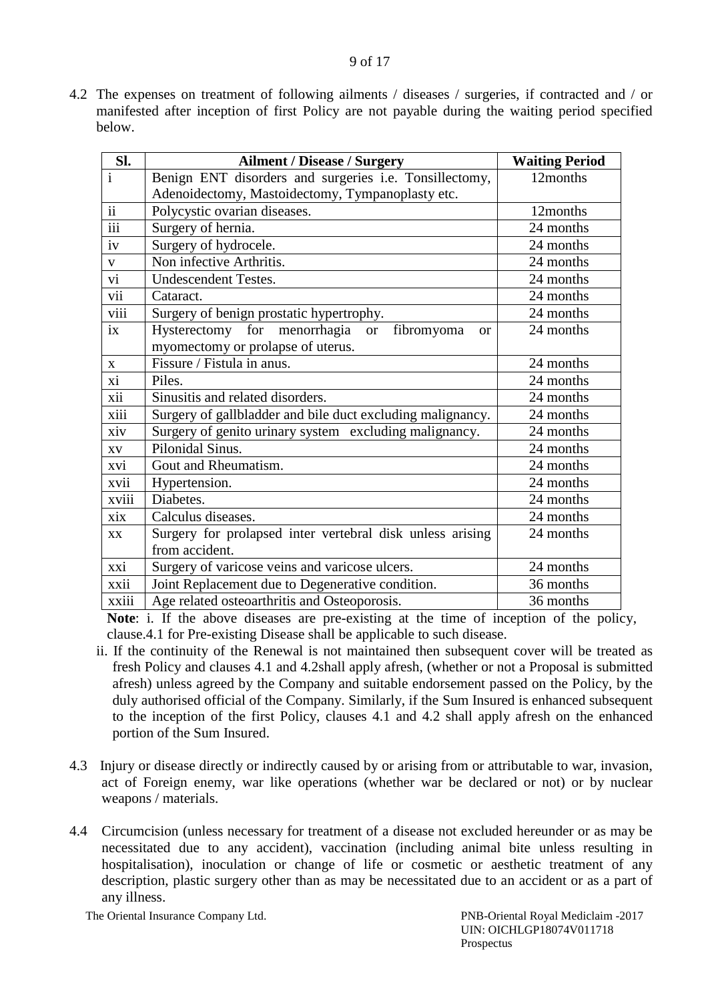4.2 The expenses on treatment of following ailments / diseases / surgeries, if contracted and / or manifested after inception of first Policy are not payable during the waiting period specified below.

| Sl.                     | <b>Ailment / Disease / Surgery</b>                                   | <b>Waiting Period</b> |
|-------------------------|----------------------------------------------------------------------|-----------------------|
| $\overline{\mathbf{i}}$ | Benign ENT disorders and surgeries i.e. Tonsillectomy,               | 12months              |
|                         | Adenoidectomy, Mastoidectomy, Tympanoplasty etc.                     |                       |
| $\overline{ii}$         | Polycystic ovarian diseases.                                         | 12months              |
| $\overline{\text{iii}}$ | Surgery of hernia.                                                   | 24 months             |
| iv                      | Surgery of hydrocele.                                                | 24 months             |
| V                       | Non infective Arthritis.                                             | 24 months             |
| vi                      | <b>Undescendent Testes.</b>                                          | 24 months             |
| vii                     | Cataract.                                                            | 24 months             |
| viii                    | Surgery of benign prostatic hypertrophy.                             | 24 months             |
| $\overline{1}X$         | Hysterectomy for menorrhagia<br>fibromyoma<br><b>or</b><br><b>or</b> | 24 months             |
|                         | myomectomy or prolapse of uterus.                                    |                       |
| $\mathbf X$             | Fissure / Fistula in anus.                                           | 24 months             |
| xi                      | Piles.                                                               | 24 months             |
| xii                     | Sinusitis and related disorders.                                     | 24 months             |
| xiii                    | Surgery of gallbladder and bile duct excluding malignancy.           | 24 months             |
| xiv                     | Surgery of genito urinary system excluding malignancy.               | 24 months             |
| XV                      | Pilonidal Sinus.                                                     | 24 months             |
| xvi                     | Gout and Rheumatism.                                                 | 24 months             |
| xvii                    | Hypertension.                                                        | 24 months             |
| xviii                   | Diabetes.                                                            | 24 months             |
| xix                     | Calculus diseases.                                                   | 24 months             |
| <b>XX</b>               | Surgery for prolapsed inter vertebral disk unless arising            | 24 months             |
|                         | from accident.                                                       |                       |
| xxi                     | Surgery of varicose veins and varicose ulcers.                       | 24 months             |
| xxii                    | Joint Replacement due to Degenerative condition.                     | 36 months             |
| <b>XX111</b>            | Age related osteoarthritis and Osteoporosis.                         | 36 months             |

**Note**: i. If the above diseases are pre-existing at the time of inception of the policy, clause.4.1 for Pre-existing Disease shall be applicable to such disease.

- ii. If the continuity of the Renewal is not maintained then subsequent cover will be treated as fresh Policy and clauses 4.1 and 4.2shall apply afresh, (whether or not a Proposal is submitted afresh) unless agreed by the Company and suitable endorsement passed on the Policy, by the duly authorised official of the Company. Similarly, if the Sum Insured is enhanced subsequent to the inception of the first Policy, clauses 4.1 and 4.2 shall apply afresh on the enhanced portion of the Sum Insured.
- 4.3 Injury or disease directly or indirectly caused by or arising from or attributable to war, invasion, act of Foreign enemy, war like operations (whether war be declared or not) or by nuclear weapons / materials.
- 4.4 Circumcision (unless necessary for treatment of a disease not excluded hereunder or as may be necessitated due to any accident), vaccination (including animal bite unless resulting in hospitalisation), inoculation or change of life or cosmetic or aesthetic treatment of any description, plastic surgery other than as may be necessitated due to an accident or as a part of any illness.

The Oriental Insurance Company Ltd. PNB-Oriental Royal Mediclaim -2017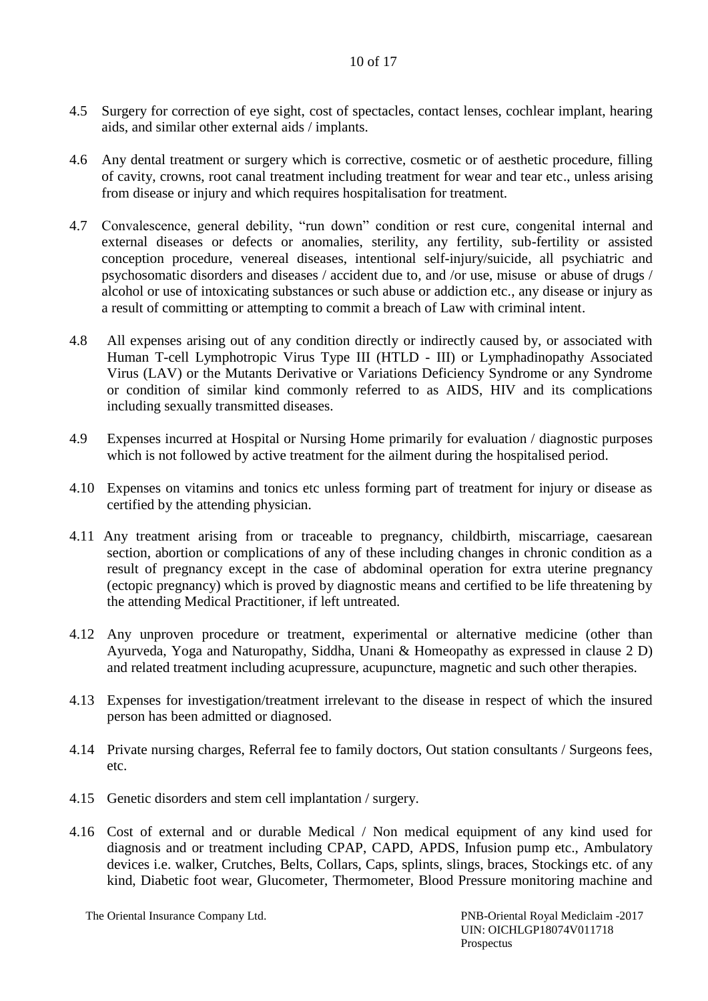- 4.5 Surgery for correction of eye sight, cost of spectacles, contact lenses, cochlear implant, hearing aids, and similar other external aids / implants.
- 4.6 Any dental treatment or surgery which is corrective, cosmetic or of aesthetic procedure, filling of cavity, crowns, root canal treatment including treatment for wear and tear etc., unless arising from disease or injury and which requires hospitalisation for treatment.
- 4.7 Convalescence, general debility, "run down" condition or rest cure, congenital internal and external diseases or defects or anomalies, sterility, any fertility, sub-fertility or assisted conception procedure, venereal diseases, intentional self-injury/suicide, all psychiatric and psychosomatic disorders and diseases / accident due to, and /or use, misuse or abuse of drugs / alcohol or use of intoxicating substances or such abuse or addiction etc., any disease or injury as a result of committing or attempting to commit a breach of Law with criminal intent.
- 4.8 All expenses arising out of any condition directly or indirectly caused by, or associated with Human T-cell Lymphotropic Virus Type III (HTLD - III) or Lymphadinopathy Associated Virus (LAV) or the Mutants Derivative or Variations Deficiency Syndrome or any Syndrome or condition of similar kind commonly referred to as AIDS, HIV and its complications including sexually transmitted diseases.
- 4.9 Expenses incurred at Hospital or Nursing Home primarily for evaluation / diagnostic purposes which is not followed by active treatment for the ailment during the hospitalised period.
- 4.10 Expenses on vitamins and tonics etc unless forming part of treatment for injury or disease as certified by the attending physician.
- 4.11 Any treatment arising from or traceable to pregnancy, childbirth, miscarriage, caesarean section, abortion or complications of any of these including changes in chronic condition as a result of pregnancy except in the case of abdominal operation for extra uterine pregnancy (ectopic pregnancy) which is proved by diagnostic means and certified to be life threatening by the attending Medical Practitioner, if left untreated.
- 4.12 Any unproven procedure or treatment, experimental or alternative medicine (other than Ayurveda, Yoga and Naturopathy, Siddha, Unani & Homeopathy as expressed in clause 2 D) and related treatment including acupressure, acupuncture, magnetic and such other therapies.
- 4.13 Expenses for investigation/treatment irrelevant to the disease in respect of which the insured person has been admitted or diagnosed.
- 4.14 Private nursing charges, Referral fee to family doctors, Out station consultants / Surgeons fees, etc.
- 4.15 Genetic disorders and stem cell implantation / surgery.
- 4.16 Cost of external and or durable Medical / Non medical equipment of any kind used for diagnosis and or treatment including CPAP, CAPD, APDS, Infusion pump etc., Ambulatory devices i.e. walker, Crutches, Belts, Collars, Caps, splints, slings, braces, Stockings etc. of any kind, Diabetic foot wear, Glucometer, Thermometer, Blood Pressure monitoring machine and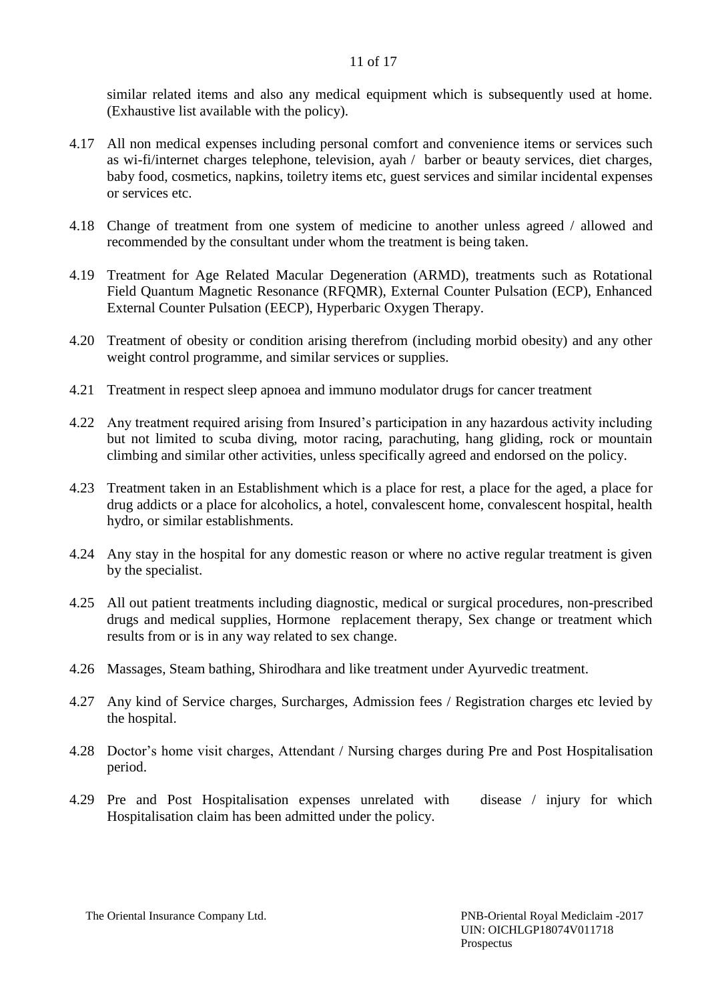similar related items and also any medical equipment which is subsequently used at home. (Exhaustive list available with the policy).

- 4.17 All non medical expenses including personal comfort and convenience items or services such as wi-fi/internet charges telephone, television, ayah / barber or beauty services, diet charges, baby food, cosmetics, napkins, toiletry items etc, guest services and similar incidental expenses or services etc.
- 4.18 Change of treatment from one system of medicine to another unless agreed / allowed and recommended by the consultant under whom the treatment is being taken.
- 4.19 Treatment for Age Related Macular Degeneration (ARMD), treatments such as Rotational Field Quantum Magnetic Resonance (RFQMR), External Counter Pulsation (ECP), Enhanced External Counter Pulsation (EECP), Hyperbaric Oxygen Therapy.
- 4.20 Treatment of obesity or condition arising therefrom (including morbid obesity) and any other weight control programme, and similar services or supplies.
- 4.21 Treatment in respect sleep apnoea and immuno modulator drugs for cancer treatment
- 4.22 Any treatment required arising from Insured's participation in any hazardous activity including but not limited to scuba diving, motor racing, parachuting, hang gliding, rock or mountain climbing and similar other activities, unless specifically agreed and endorsed on the policy.
- 4.23 Treatment taken in an Establishment which is a place for rest, a place for the aged, a place for drug addicts or a place for alcoholics, a hotel, convalescent home, convalescent hospital, health hydro, or similar establishments.
- 4.24 Any stay in the hospital for any domestic reason or where no active regular treatment is given by the specialist.
- 4.25 All out patient treatments including diagnostic, medical or surgical procedures, non-prescribed drugs and medical supplies, Hormone replacement therapy, Sex change or treatment which results from or is in any way related to sex change.
- 4.26 Massages, Steam bathing, Shirodhara and like treatment under Ayurvedic treatment.
- 4.27 Any kind of Service charges, Surcharges, Admission fees / Registration charges etc levied by the hospital.
- 4.28 Doctor's home visit charges, Attendant / Nursing charges during Pre and Post Hospitalisation period.
- 4.29 Pre and Post Hospitalisation expenses unrelated with disease / injury for which Hospitalisation claim has been admitted under the policy.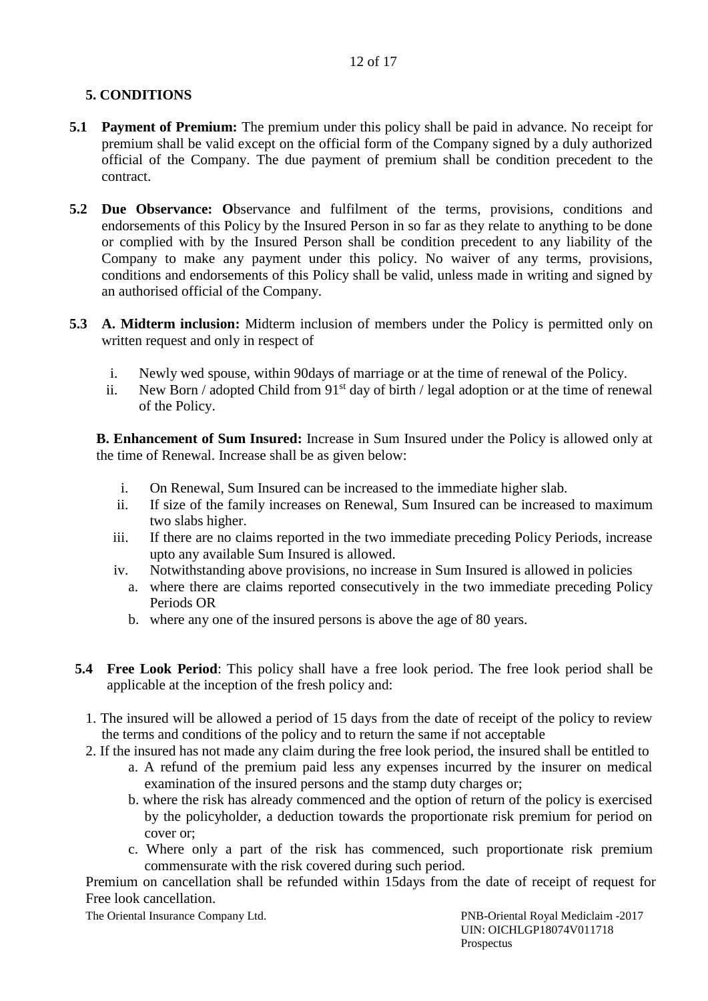# **5. CONDITIONS**

- **5.1 Payment of Premium:** The premium under this policy shall be paid in advance. No receipt for premium shall be valid except on the official form of the Company signed by a duly authorized official of the Company. The due payment of premium shall be condition precedent to the contract.
- **5.2 Due Observance: O**bservance and fulfilment of the terms, provisions, conditions and endorsements of this Policy by the Insured Person in so far as they relate to anything to be done or complied with by the Insured Person shall be condition precedent to any liability of the Company to make any payment under this policy. No waiver of any terms, provisions, conditions and endorsements of this Policy shall be valid, unless made in writing and signed by an authorised official of the Company.
- **5.3 A. Midterm inclusion:** Midterm inclusion of members under the Policy is permitted only on written request and only in respect of
	- i. Newly wed spouse, within 90days of marriage or at the time of renewal of the Policy.
	- ii. New Born / adopted Child from  $91<sup>st</sup>$  day of birth / legal adoption or at the time of renewal of the Policy.

**B. Enhancement of Sum Insured:** Increase in Sum Insured under the Policy is allowed only at the time of Renewal. Increase shall be as given below:

- i. On Renewal, Sum Insured can be increased to the immediate higher slab.
- ii. If size of the family increases on Renewal, Sum Insured can be increased to maximum two slabs higher.
- iii. If there are no claims reported in the two immediate preceding Policy Periods, increase upto any available Sum Insured is allowed.
- iv. Notwithstanding above provisions, no increase in Sum Insured is allowed in policies
	- a. where there are claims reported consecutively in the two immediate preceding Policy Periods OR
	- b. where any one of the insured persons is above the age of 80 years.
- **5.4 Free Look Period**: This policy shall have a free look period. The free look period shall be applicable at the inception of the fresh policy and:
	- 1. The insured will be allowed a period of 15 days from the date of receipt of the policy to review the terms and conditions of the policy and to return the same if not acceptable
	- 2. If the insured has not made any claim during the free look period, the insured shall be entitled to
		- a. A refund of the premium paid less any expenses incurred by the insurer on medical examination of the insured persons and the stamp duty charges or;
		- b. where the risk has already commenced and the option of return of the policy is exercised by the policyholder, a deduction towards the proportionate risk premium for period on cover or;
		- c. Where only a part of the risk has commenced, such proportionate risk premium commensurate with the risk covered during such period.

Premium on cancellation shall be refunded within 15days from the date of receipt of request for Free look cancellation.

The Oriental Insurance Company Ltd. PNB-Oriental Royal Mediclaim -2017

 UIN: OICHLGP18074V011718 Prospectus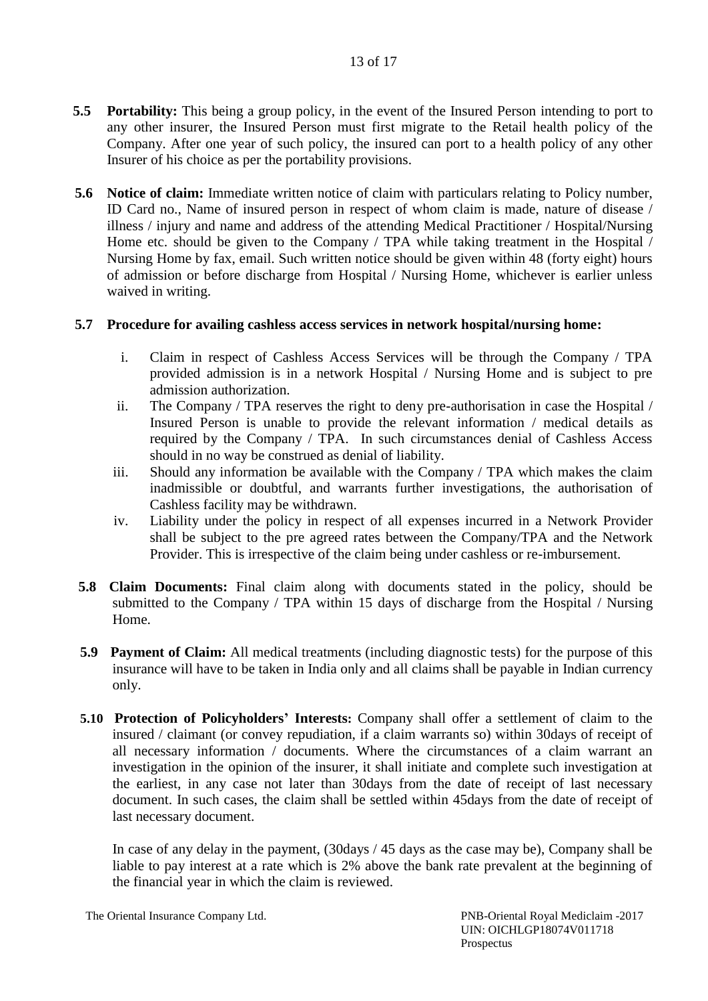- **5.5 Portability:** This being a group policy, in the event of the Insured Person intending to port to any other insurer, the Insured Person must first migrate to the Retail health policy of the Company. After one year of such policy, the insured can port to a health policy of any other Insurer of his choice as per the portability provisions.
- **5.6 Notice of claim:** Immediate written notice of claim with particulars relating to Policy number, ID Card no., Name of insured person in respect of whom claim is made, nature of disease / illness / injury and name and address of the attending Medical Practitioner / Hospital/Nursing Home etc. should be given to the Company / TPA while taking treatment in the Hospital / Nursing Home by fax, email. Such written notice should be given within 48 (forty eight) hours of admission or before discharge from Hospital / Nursing Home, whichever is earlier unless waived in writing.

### **5.7 Procedure for availing cashless access services in network hospital/nursing home:**

- i. Claim in respect of Cashless Access Services will be through the Company / TPA provided admission is in a network Hospital / Nursing Home and is subject to pre admission authorization.
- ii. The Company / TPA reserves the right to deny pre-authorisation in case the Hospital / Insured Person is unable to provide the relevant information / medical details as required by the Company / TPA. In such circumstances denial of Cashless Access should in no way be construed as denial of liability.
- iii. Should any information be available with the Company / TPA which makes the claim inadmissible or doubtful, and warrants further investigations, the authorisation of Cashless facility may be withdrawn.
- iv. Liability under the policy in respect of all expenses incurred in a Network Provider shall be subject to the pre agreed rates between the Company/TPA and the Network Provider. This is irrespective of the claim being under cashless or re-imbursement.
- **5.8 Claim Documents:** Final claim along with documents stated in the policy, should be submitted to the Company / TPA within 15 days of discharge from the Hospital / Nursing Home.
- **5.9 Payment of Claim:** All medical treatments (including diagnostic tests) for the purpose of this insurance will have to be taken in India only and all claims shall be payable in Indian currency only.
- **5.10 Protection of Policyholders' Interests:** Company shall offer a settlement of claim to the insured / claimant (or convey repudiation, if a claim warrants so) within 30days of receipt of all necessary information / documents. Where the circumstances of a claim warrant an investigation in the opinion of the insurer, it shall initiate and complete such investigation at the earliest, in any case not later than 30days from the date of receipt of last necessary document. In such cases, the claim shall be settled within 45days from the date of receipt of last necessary document.

In case of any delay in the payment, (30days / 45 days as the case may be), Company shall be liable to pay interest at a rate which is 2% above the bank rate prevalent at the beginning of the financial year in which the claim is reviewed.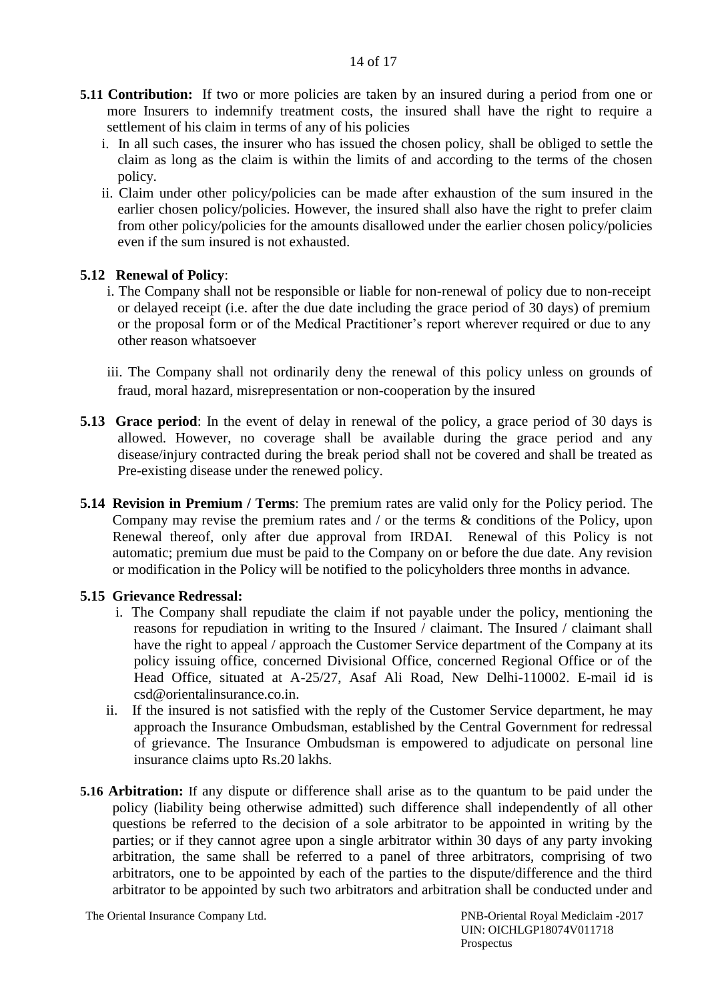- **5.11 Contribution:** If two or more policies are taken by an insured during a period from one or more Insurers to indemnify treatment costs, the insured shall have the right to require a settlement of his claim in terms of any of his policies
	- i. In all such cases, the insurer who has issued the chosen policy, shall be obliged to settle the claim as long as the claim is within the limits of and according to the terms of the chosen policy.
	- ii. Claim under other policy/policies can be made after exhaustion of the sum insured in the earlier chosen policy/policies. However, the insured shall also have the right to prefer claim from other policy/policies for the amounts disallowed under the earlier chosen policy/policies even if the sum insured is not exhausted.

#### **5.12 Renewal of Policy**:

- i. The Company shall not be responsible or liable for non-renewal of policy due to non-receipt or delayed receipt (i.e. after the due date including the grace period of 30 days) of premium or the proposal form or of the Medical Practitioner's report wherever required or due to any other reason whatsoever
- iii. The Company shall not ordinarily deny the renewal of this policy unless on grounds of fraud, moral hazard, misrepresentation or non-cooperation by the insured
- **5.13 Grace period**: In the event of delay in renewal of the policy, a grace period of 30 days is allowed. However, no coverage shall be available during the grace period and any disease/injury contracted during the break period shall not be covered and shall be treated as Pre-existing disease under the renewed policy.
- **5.14 Revision in Premium / Terms**: The premium rates are valid only for the Policy period. The Company may revise the premium rates and / or the terms & conditions of the Policy, upon Renewal thereof, only after due approval from IRDAI. Renewal of this Policy is not automatic; premium due must be paid to the Company on or before the due date. Any revision or modification in the Policy will be notified to the policyholders three months in advance.

#### **5.15 Grievance Redressal:**

- i. The Company shall repudiate the claim if not payable under the policy, mentioning the reasons for repudiation in writing to the Insured / claimant. The Insured / claimant shall have the right to appeal / approach the Customer Service department of the Company at its policy issuing office, concerned Divisional Office, concerned Regional Office or of the Head Office, situated at A-25/27, Asaf Ali Road, New Delhi-110002. E-mail id is csd@orientalinsurance.co.in.
- ii. If the insured is not satisfied with the reply of the Customer Service department, he may approach the Insurance Ombudsman, established by the Central Government for redressal of grievance. The Insurance Ombudsman is empowered to adjudicate on personal line insurance claims upto Rs.20 lakhs.
- **5.16 Arbitration:** If any dispute or difference shall arise as to the quantum to be paid under the policy (liability being otherwise admitted) such difference shall independently of all other questions be referred to the decision of a sole arbitrator to be appointed in writing by the parties; or if they cannot agree upon a single arbitrator within 30 days of any party invoking arbitration, the same shall be referred to a panel of three arbitrators, comprising of two arbitrators, one to be appointed by each of the parties to the dispute/difference and the third arbitrator to be appointed by such two arbitrators and arbitration shall be conducted under and

The Oriental Insurance Company Ltd. PNB-Oriental Royal Mediclaim -2017

 UIN: OICHLGP18074V011718 Prospectus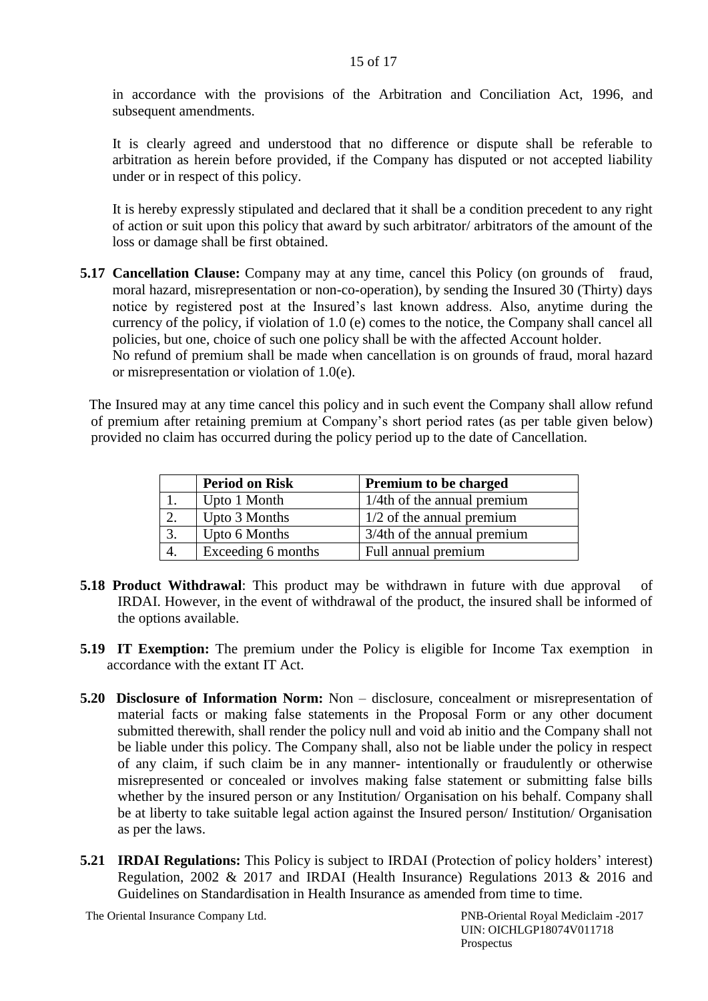in accordance with the provisions of the Arbitration and Conciliation Act, 1996, and subsequent amendments.

It is clearly agreed and understood that no difference or dispute shall be referable to arbitration as herein before provided, if the Company has disputed or not accepted liability under or in respect of this policy.

It is hereby expressly stipulated and declared that it shall be a condition precedent to any right of action or suit upon this policy that award by such arbitrator/ arbitrators of the amount of the loss or damage shall be first obtained.

**5.17 Cancellation Clause:** Company may at any time, cancel this Policy (on grounds of fraud, moral hazard, misrepresentation or non-co-operation), by sending the Insured 30 (Thirty) days notice by registered post at the Insured's last known address. Also, anytime during the currency of the policy, if violation of 1.0 (e) comes to the notice, the Company shall cancel all policies, but one, choice of such one policy shall be with the affected Account holder. No refund of premium shall be made when cancellation is on grounds of fraud, moral hazard or misrepresentation or violation of 1.0(e).

The Insured may at any time cancel this policy and in such event the Company shall allow refund of premium after retaining premium at Company's short period rates (as per table given below) provided no claim has occurred during the policy period up to the date of Cancellation.

|    | <b>Period on Risk</b> | <b>Premium to be charged</b>   |  |
|----|-----------------------|--------------------------------|--|
|    | Upto 1 Month          | $1/4$ th of the annual premium |  |
|    | Upto 3 Months         | $1/2$ of the annual premium    |  |
| 3. | Upto 6 Months         | 3/4th of the annual premium    |  |
| 4. | Exceeding 6 months    | Full annual premium            |  |

- **5.18 Product Withdrawal**: This product may be withdrawn in future with due approval of IRDAI. However, in the event of withdrawal of the product, the insured shall be informed of the options available.
- **5.19 IT Exemption:** The premium under the Policy is eligible for Income Tax exemption in accordance with the extant IT Act.
- **5.20 Disclosure of Information Norm:** Non disclosure, concealment or misrepresentation of material facts or making false statements in the Proposal Form or any other document submitted therewith, shall render the policy null and void ab initio and the Company shall not be liable under this policy. The Company shall, also not be liable under the policy in respect of any claim, if such claim be in any manner- intentionally or fraudulently or otherwise misrepresented or concealed or involves making false statement or submitting false bills whether by the insured person or any Institution/ Organisation on his behalf. Company shall be at liberty to take suitable legal action against the Insured person/ Institution/ Organisation as per the laws.
- **5.21 IRDAI Regulations:** This Policy is subject to IRDAI (Protection of policy holders' interest) Regulation, 2002 & 2017 and IRDAI (Health Insurance) Regulations 2013 & 2016 and Guidelines on Standardisation in Health Insurance as amended from time to time.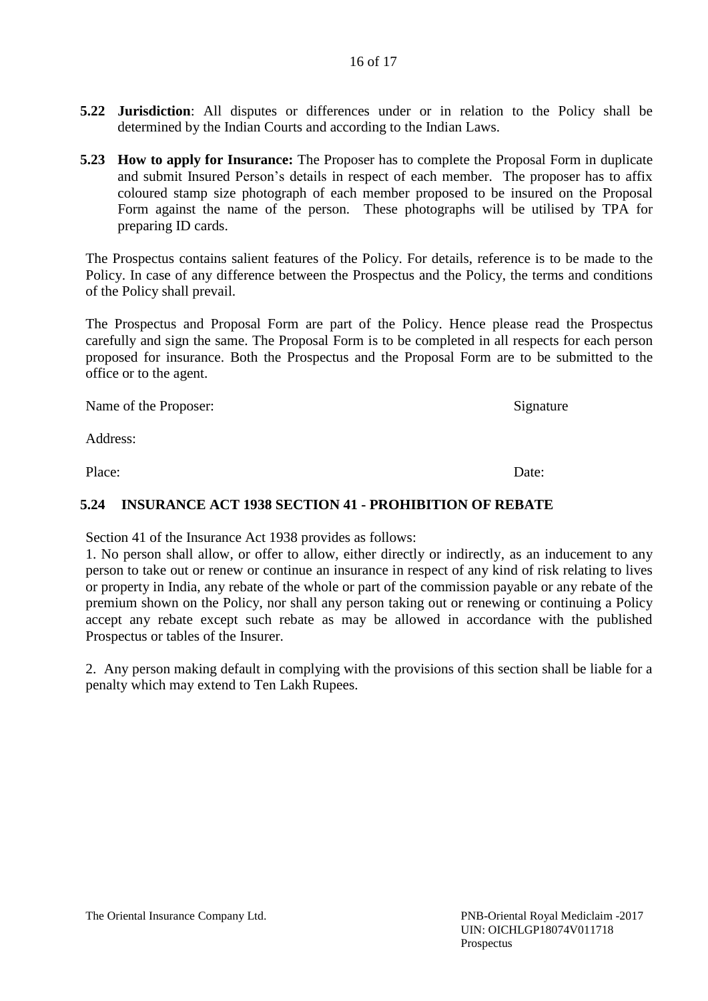#### 16 of 17

- **5.22 Jurisdiction**: All disputes or differences under or in relation to the Policy shall be determined by the Indian Courts and according to the Indian Laws.
- **5.23 How to apply for Insurance:** The Proposer has to complete the Proposal Form in duplicate and submit Insured Person's details in respect of each member. The proposer has to affix coloured stamp size photograph of each member proposed to be insured on the Proposal Form against the name of the person. These photographs will be utilised by TPA for preparing ID cards.

The Prospectus contains salient features of the Policy. For details, reference is to be made to the Policy. In case of any difference between the Prospectus and the Policy, the terms and conditions of the Policy shall prevail.

The Prospectus and Proposal Form are part of the Policy. Hence please read the Prospectus carefully and sign the same. The Proposal Form is to be completed in all respects for each person proposed for insurance. Both the Prospectus and the Proposal Form are to be submitted to the office or to the agent.

Name of the Proposer: Signature

Address:

Place: Date:

#### **5.24 INSURANCE ACT 1938 SECTION 41 - PROHIBITION OF REBATE**

Section 41 of the Insurance Act 1938 provides as follows:

1. No person shall allow, or offer to allow, either directly or indirectly, as an inducement to any person to take out or renew or continue an insurance in respect of any kind of risk relating to lives or property in India, any rebate of the whole or part of the commission payable or any rebate of the premium shown on the Policy, nor shall any person taking out or renewing or continuing a Policy accept any rebate except such rebate as may be allowed in accordance with the published Prospectus or tables of the Insurer.

2. Any person making default in complying with the provisions of this section shall be liable for a penalty which may extend to Ten Lakh Rupees.